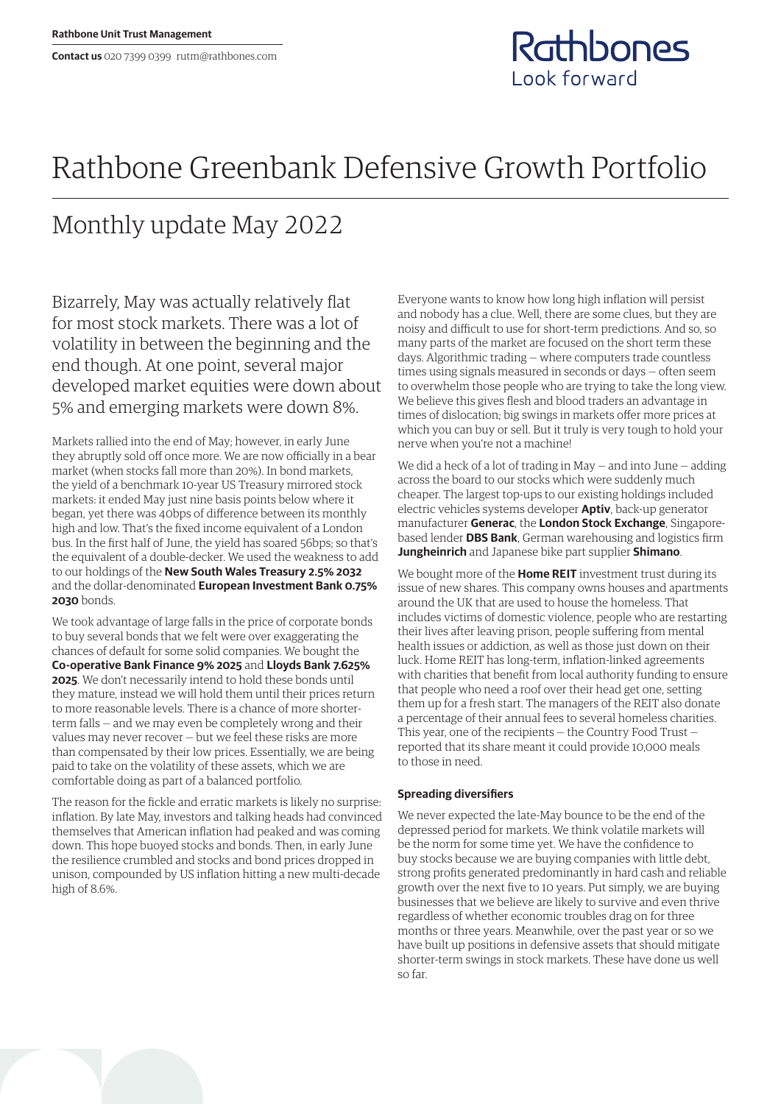## Rathbones Look forward

## Rathbone Greenbank Defensive Growth Portfolio

## Monthly update May 2022

Bizarrely, May was actually relatively flat for most stock markets. There was a lot of volatility in between the beginning and the end though. At one point, several major developed market equities were down about 5% and emerging markets were down 8%.

Markets rallied into the end of May; however, in early June they abruptly sold off once more. We are now officially in a bear market (when stocks fall more than 20%). In bond markets, the yield of a benchmark 10-year US Treasury mirrored stock markets: it ended May just nine basis points below where it began, yet there was 40bps of difference between its monthly high and low. That's the fixed income equivalent of a London bus. In the first half of June, the yield has soared 56bps; so that's the equivalent of a double-decker. We used the weakness to add to our holdings of the **New South Wales Treasury 2.5% 2032** and the dollar-denominated **European Investment Bank 0.75% 2030** bonds.

We took advantage of large falls in the price of corporate bonds to buy several bonds that we felt were over exaggerating the chances of default for some solid companies. We bought the **Co-operative Bank Finance 9% 2025** and **Lloyds Bank 7.625% 2025**. We don't necessarily intend to hold these bonds until they mature, instead we will hold them until their prices return to more reasonable levels. There is a chance of more shorterterm falls — and we may even be completely wrong and their values may never recover — but we feel these risks are more than compensated by their low prices. Essentially, we are being paid to take on the volatility of these assets, which we are comfortable doing as part of a balanced portfolio.

The reason for the fickle and erratic markets is likely no surprise: inflation. By late May, investors and talking heads had convinced themselves that American inflation had peaked and was coming down. This hope buoyed stocks and bonds. Then, in early June the resilience crumbled and stocks and bond prices dropped in unison, compounded by US inflation hitting a new multi-decade high of 8.6%.

Everyone wants to know how long high inflation will persist and nobody has a clue. Well, there are some clues, but they are noisy and difficult to use for short-term predictions. And so, so many parts of the market are focused on the short term these days. Algorithmic trading — where computers trade countless times using signals measured in seconds or days — often seem to overwhelm those people who are trying to take the long view. We believe this gives flesh and blood traders an advantage in times of dislocation; big swings in markets offer more prices at which you can buy or sell. But it truly is very tough to hold your nerve when you're not a machine!

We did a heck of a lot of trading in May — and into June — adding across the board to our stocks which were suddenly much cheaper. The largest top-ups to our existing holdings included electric vehicles systems developer **Aptiv**, back-up generator manufacturer **Generac**, the **London Stock Exchange**, Singaporebased lender **DBS Bank**, German warehousing and logistics firm **Jungheinrich** and Japanese bike part supplier **Shimano**.

We bought more of the **Home REIT** investment trust during its issue of new shares. This company owns houses and apartments around the UK that are used to house the homeless. That includes victims of domestic violence, people who are restarting their lives after leaving prison, people suffering from mental health issues or addiction, as well as those just down on their luck. Home REIT has long-term, inflation-linked agreements with charities that benefit from local authority funding to ensure that people who need a roof over their head get one, setting them up for a fresh start. The managers of the REIT also donate a percentage of their annual fees to several homeless charities. This year, one of the recipients — the Country Food Trust reported that its share meant it could provide 10,000 meals to those in need.

## **Spreading diversifiers**

We never expected the late-May bounce to be the end of the depressed period for markets. We think volatile markets will be the norm for some time yet. We have the confidence to buy stocks because we are buying companies with little debt, strong profits generated predominantly in hard cash and reliable growth over the next five to 10 years. Put simply, we are buying businesses that we believe are likely to survive and even thrive regardless of whether economic troubles drag on for three months or three years. Meanwhile, over the past year or so we have built up positions in defensive assets that should mitigate shorter-term swings in stock markets. These have done us well so far.